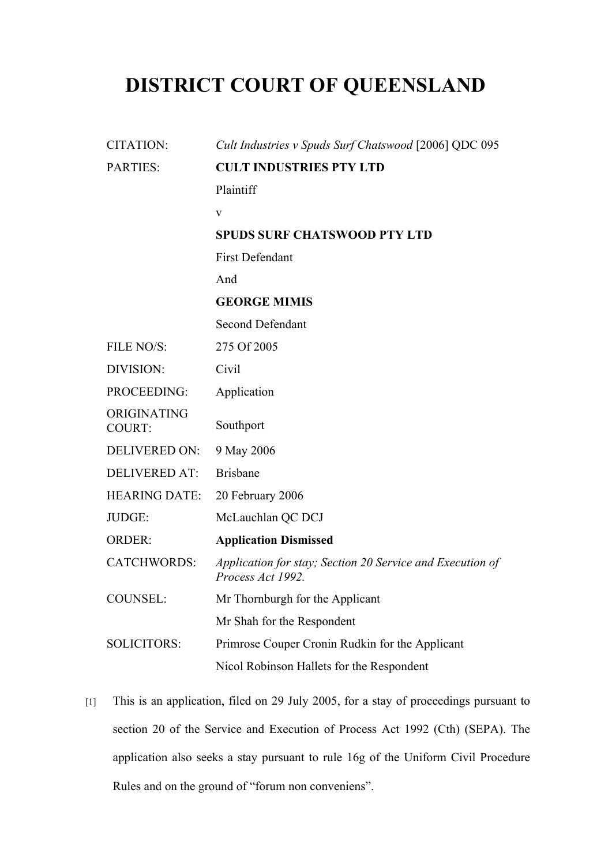## **DISTRICT COURT OF QUEENSLAND**

| <b>CITATION:</b>             | Cult Industries v Spuds Surf Chatswood [2006] QDC 095                          |
|------------------------------|--------------------------------------------------------------------------------|
| <b>PARTIES:</b>              | <b>CULT INDUSTRIES PTY LTD</b>                                                 |
|                              | Plaintiff                                                                      |
|                              | $\mathbf{V}$                                                                   |
|                              | <b>SPUDS SURF CHATSWOOD PTY LTD</b>                                            |
|                              | <b>First Defendant</b>                                                         |
|                              | And                                                                            |
|                              | <b>GEORGE MIMIS</b>                                                            |
|                              | <b>Second Defendant</b>                                                        |
| FILE NO/S:                   | 275 Of 2005                                                                    |
| DIVISION:                    | Civil                                                                          |
| PROCEEDING:                  | Application                                                                    |
| ORIGINATING<br><b>COURT:</b> | Southport                                                                      |
| <b>DELIVERED ON:</b>         | 9 May 2006                                                                     |
| <b>DELIVERED AT:</b>         | <b>Brisbane</b>                                                                |
| <b>HEARING DATE:</b>         | 20 February 2006                                                               |
| JUDGE:                       | McLauchlan QC DCJ                                                              |
| <b>ORDER:</b>                | <b>Application Dismissed</b>                                                   |
| <b>CATCHWORDS:</b>           | Application for stay; Section 20 Service and Execution of<br>Process Act 1992. |
| <b>COUNSEL:</b>              | Mr Thornburgh for the Applicant                                                |
|                              | Mr Shah for the Respondent                                                     |
| <b>SOLICITORS:</b>           | Primrose Couper Cronin Rudkin for the Applicant                                |
|                              | Nicol Robinson Hallets for the Respondent                                      |

[1] This is an application, filed on 29 July 2005, for a stay of proceedings pursuant to section 20 of the Service and Execution of Process Act 1992 (Cth) (SEPA). The application also seeks a stay pursuant to rule 16g of the Uniform Civil Procedure Rules and on the ground of "forum non conveniens".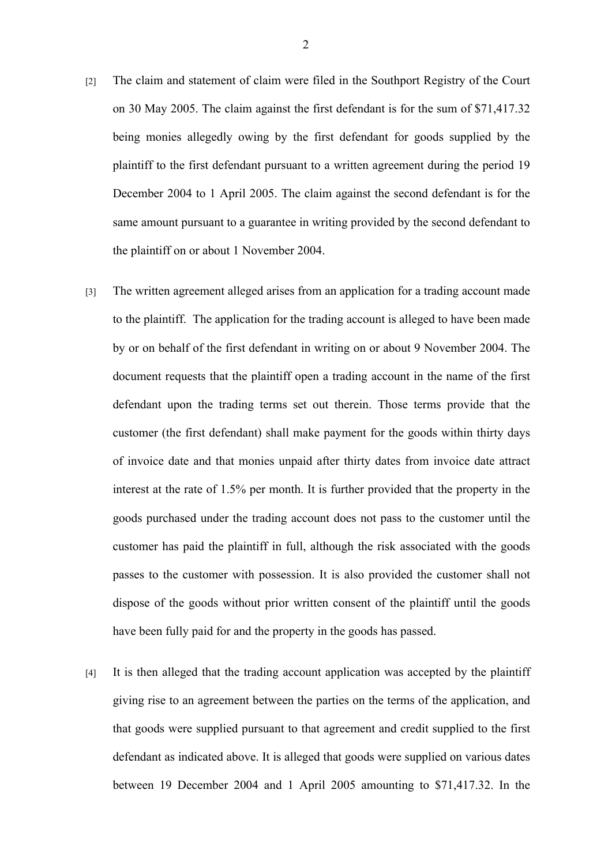- [2] The claim and statement of claim were filed in the Southport Registry of the Court on 30 May 2005. The claim against the first defendant is for the sum of \$71,417.32 being monies allegedly owing by the first defendant for goods supplied by the plaintiff to the first defendant pursuant to a written agreement during the period 19 December 2004 to 1 April 2005. The claim against the second defendant is for the same amount pursuant to a guarantee in writing provided by the second defendant to the plaintiff on or about 1 November 2004.
- [3] The written agreement alleged arises from an application for a trading account made to the plaintiff. The application for the trading account is alleged to have been made by or on behalf of the first defendant in writing on or about 9 November 2004. The document requests that the plaintiff open a trading account in the name of the first defendant upon the trading terms set out therein. Those terms provide that the customer (the first defendant) shall make payment for the goods within thirty days of invoice date and that monies unpaid after thirty dates from invoice date attract interest at the rate of 1.5% per month. It is further provided that the property in the goods purchased under the trading account does not pass to the customer until the customer has paid the plaintiff in full, although the risk associated with the goods passes to the customer with possession. It is also provided the customer shall not dispose of the goods without prior written consent of the plaintiff until the goods have been fully paid for and the property in the goods has passed.
- [4] It is then alleged that the trading account application was accepted by the plaintiff giving rise to an agreement between the parties on the terms of the application, and that goods were supplied pursuant to that agreement and credit supplied to the first defendant as indicated above. It is alleged that goods were supplied on various dates between 19 December 2004 and 1 April 2005 amounting to \$71,417.32. In the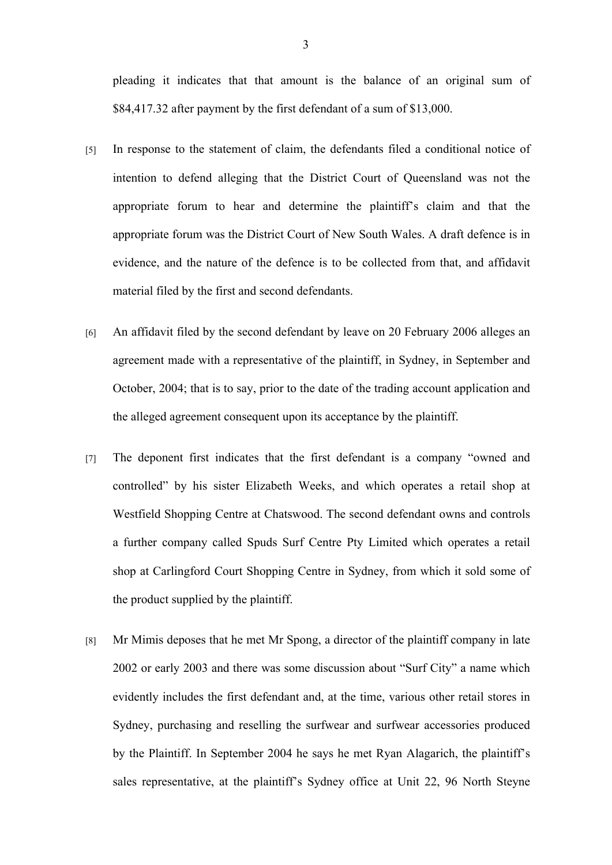pleading it indicates that that amount is the balance of an original sum of \$84,417.32 after payment by the first defendant of a sum of \$13,000.

- [5] In response to the statement of claim, the defendants filed a conditional notice of intention to defend alleging that the District Court of Queensland was not the appropriate forum to hear and determine the plaintiff's claim and that the appropriate forum was the District Court of New South Wales. A draft defence is in evidence, and the nature of the defence is to be collected from that, and affidavit material filed by the first and second defendants.
- [6] An affidavit filed by the second defendant by leave on 20 February 2006 alleges an agreement made with a representative of the plaintiff, in Sydney, in September and October, 2004; that is to say, prior to the date of the trading account application and the alleged agreement consequent upon its acceptance by the plaintiff.
- [7] The deponent first indicates that the first defendant is a company "owned and controlled" by his sister Elizabeth Weeks, and which operates a retail shop at Westfield Shopping Centre at Chatswood. The second defendant owns and controls a further company called Spuds Surf Centre Pty Limited which operates a retail shop at Carlingford Court Shopping Centre in Sydney, from which it sold some of the product supplied by the plaintiff.
- [8] Mr Mimis deposes that he met Mr Spong, a director of the plaintiff company in late 2002 or early 2003 and there was some discussion about "Surf City" a name which evidently includes the first defendant and, at the time, various other retail stores in Sydney, purchasing and reselling the surfwear and surfwear accessories produced by the Plaintiff. In September 2004 he says he met Ryan Alagarich, the plaintiff's sales representative, at the plaintiff's Sydney office at Unit 22, 96 North Steyne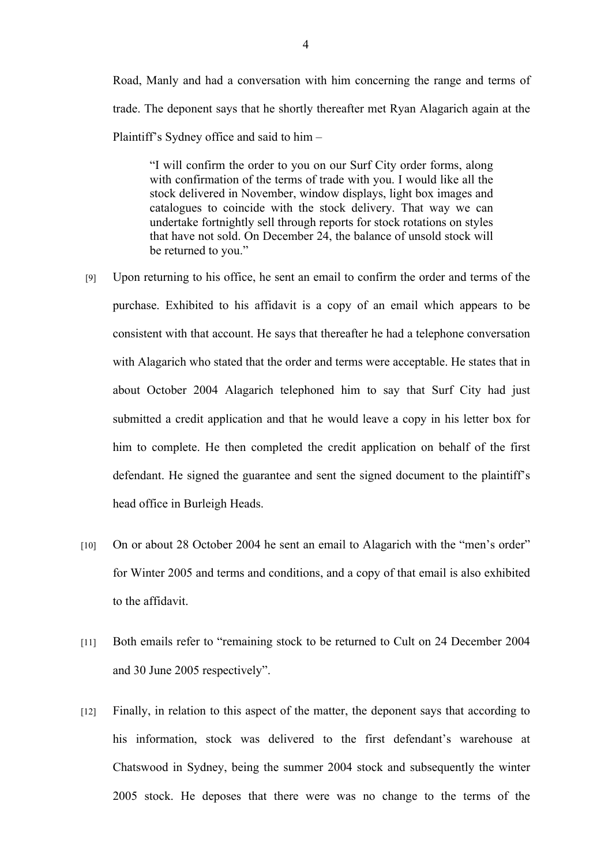Road, Manly and had a conversation with him concerning the range and terms of trade. The deponent says that he shortly thereafter met Ryan Alagarich again at the Plaintiff's Sydney office and said to him –

"I will confirm the order to you on our Surf City order forms, along with confirmation of the terms of trade with you. I would like all the stock delivered in November, window displays, light box images and catalogues to coincide with the stock delivery. That way we can undertake fortnightly sell through reports for stock rotations on styles that have not sold. On December 24, the balance of unsold stock will be returned to you."

- [9] Upon returning to his office, he sent an email to confirm the order and terms of the purchase. Exhibited to his affidavit is a copy of an email which appears to be consistent with that account. He says that thereafter he had a telephone conversation with Alagarich who stated that the order and terms were acceptable. He states that in about October 2004 Alagarich telephoned him to say that Surf City had just submitted a credit application and that he would leave a copy in his letter box for him to complete. He then completed the credit application on behalf of the first defendant. He signed the guarantee and sent the signed document to the plaintiff's head office in Burleigh Heads.
- [10] On or about 28 October 2004 he sent an email to Alagarich with the "men's order" for Winter 2005 and terms and conditions, and a copy of that email is also exhibited to the affidavit.
- [11] Both emails refer to "remaining stock to be returned to Cult on 24 December 2004 and 30 June 2005 respectively".
- [12] Finally, in relation to this aspect of the matter, the deponent says that according to his information, stock was delivered to the first defendant's warehouse at Chatswood in Sydney, being the summer 2004 stock and subsequently the winter 2005 stock. He deposes that there were was no change to the terms of the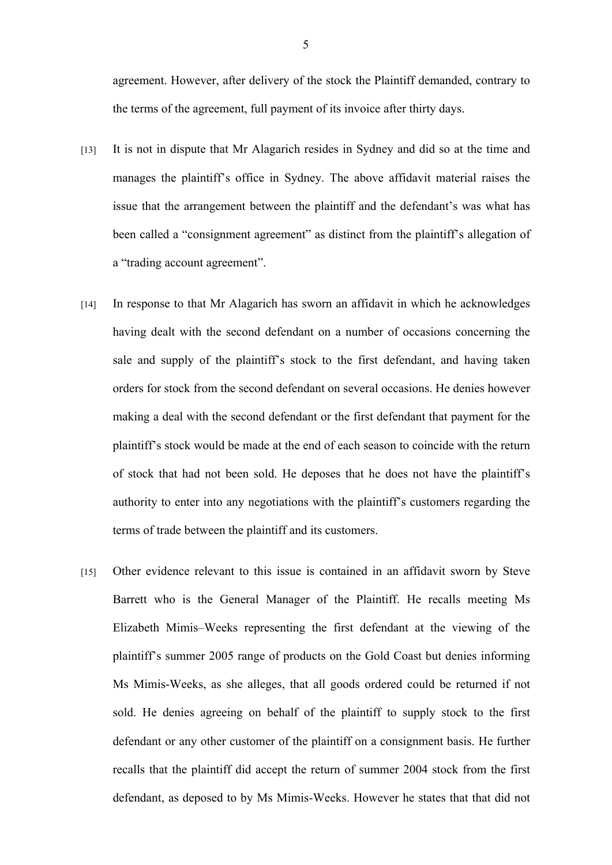agreement. However, after delivery of the stock the Plaintiff demanded, contrary to the terms of the agreement, full payment of its invoice after thirty days.

- [13] It is not in dispute that Mr Alagarich resides in Sydney and did so at the time and manages the plaintiff's office in Sydney. The above affidavit material raises the issue that the arrangement between the plaintiff and the defendant's was what has been called a "consignment agreement" as distinct from the plaintiff's allegation of a "trading account agreement".
- [14] In response to that Mr Alagarich has sworn an affidavit in which he acknowledges having dealt with the second defendant on a number of occasions concerning the sale and supply of the plaintiff's stock to the first defendant, and having taken orders for stock from the second defendant on several occasions. He denies however making a deal with the second defendant or the first defendant that payment for the plaintiff's stock would be made at the end of each season to coincide with the return of stock that had not been sold. He deposes that he does not have the plaintiff's authority to enter into any negotiations with the plaintiff's customers regarding the terms of trade between the plaintiff and its customers.
- [15] Other evidence relevant to this issue is contained in an affidavit sworn by Steve Barrett who is the General Manager of the Plaintiff. He recalls meeting Ms Elizabeth Mimis–Weeks representing the first defendant at the viewing of the plaintiff's summer 2005 range of products on the Gold Coast but denies informing Ms Mimis-Weeks, as she alleges, that all goods ordered could be returned if not sold. He denies agreeing on behalf of the plaintiff to supply stock to the first defendant or any other customer of the plaintiff on a consignment basis. He further recalls that the plaintiff did accept the return of summer 2004 stock from the first defendant, as deposed to by Ms Mimis-Weeks. However he states that that did not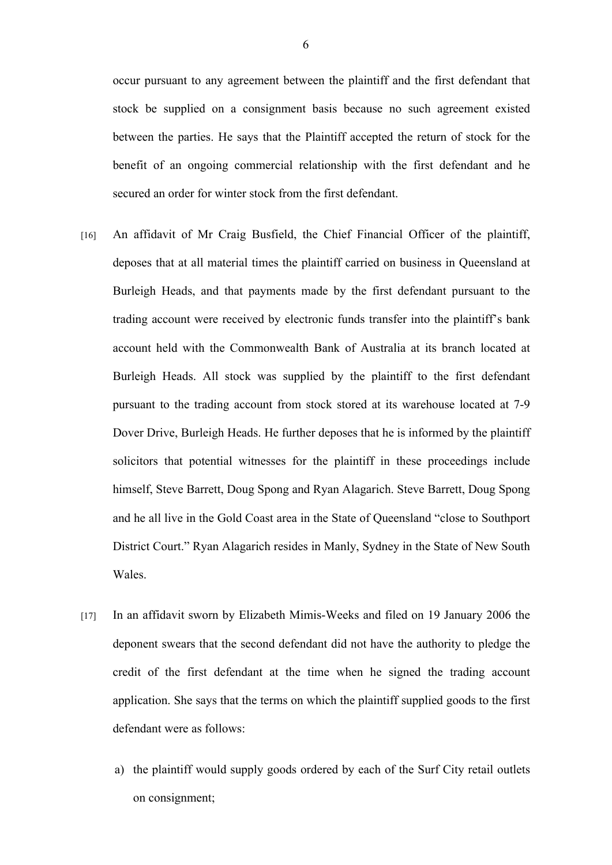occur pursuant to any agreement between the plaintiff and the first defendant that stock be supplied on a consignment basis because no such agreement existed between the parties. He says that the Plaintiff accepted the return of stock for the benefit of an ongoing commercial relationship with the first defendant and he secured an order for winter stock from the first defendant.

- [16] An affidavit of Mr Craig Busfield, the Chief Financial Officer of the plaintiff, deposes that at all material times the plaintiff carried on business in Queensland at Burleigh Heads, and that payments made by the first defendant pursuant to the trading account were received by electronic funds transfer into the plaintiff's bank account held with the Commonwealth Bank of Australia at its branch located at Burleigh Heads. All stock was supplied by the plaintiff to the first defendant pursuant to the trading account from stock stored at its warehouse located at 7-9 Dover Drive, Burleigh Heads. He further deposes that he is informed by the plaintiff solicitors that potential witnesses for the plaintiff in these proceedings include himself, Steve Barrett, Doug Spong and Ryan Alagarich. Steve Barrett, Doug Spong and he all live in the Gold Coast area in the State of Queensland "close to Southport District Court." Ryan Alagarich resides in Manly, Sydney in the State of New South Wales.
- [17] In an affidavit sworn by Elizabeth Mimis-Weeks and filed on 19 January 2006 the deponent swears that the second defendant did not have the authority to pledge the credit of the first defendant at the time when he signed the trading account application. She says that the terms on which the plaintiff supplied goods to the first defendant were as follows:
	- a) the plaintiff would supply goods ordered by each of the Surf City retail outlets on consignment;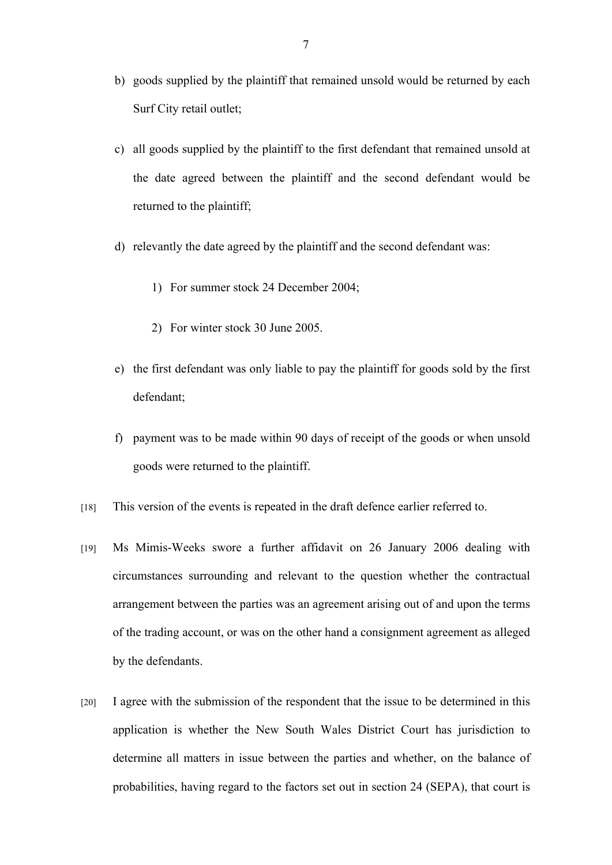- b) goods supplied by the plaintiff that remained unsold would be returned by each Surf City retail outlet;
- c) all goods supplied by the plaintiff to the first defendant that remained unsold at the date agreed between the plaintiff and the second defendant would be returned to the plaintiff;
- d) relevantly the date agreed by the plaintiff and the second defendant was:
	- 1) For summer stock 24 December 2004;
	- 2) For winter stock 30 June 2005.
- e) the first defendant was only liable to pay the plaintiff for goods sold by the first defendant;
- f) payment was to be made within 90 days of receipt of the goods or when unsold goods were returned to the plaintiff.
- [18] This version of the events is repeated in the draft defence earlier referred to.
- [19] Ms Mimis-Weeks swore a further affidavit on 26 January 2006 dealing with circumstances surrounding and relevant to the question whether the contractual arrangement between the parties was an agreement arising out of and upon the terms of the trading account, or was on the other hand a consignment agreement as alleged by the defendants.
- [20] I agree with the submission of the respondent that the issue to be determined in this application is whether the New South Wales District Court has jurisdiction to determine all matters in issue between the parties and whether, on the balance of probabilities, having regard to the factors set out in section 24 (SEPA), that court is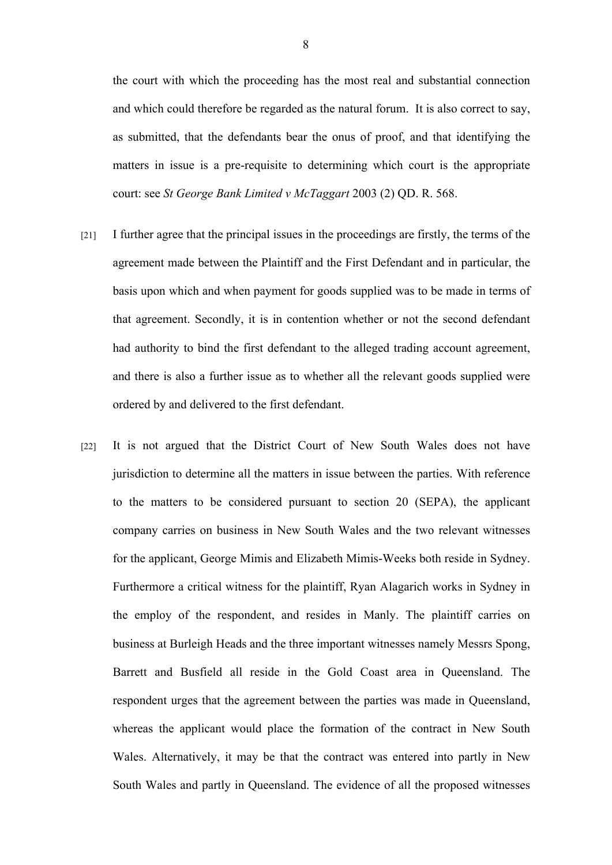the court with which the proceeding has the most real and substantial connection and which could therefore be regarded as the natural forum. It is also correct to say, as submitted, that the defendants bear the onus of proof, and that identifying the matters in issue is a pre-requisite to determining which court is the appropriate court: see *St George Bank Limited v McTaggart* 2003 (2) QD. R. 568.

- [21] I further agree that the principal issues in the proceedings are firstly, the terms of the agreement made between the Plaintiff and the First Defendant and in particular, the basis upon which and when payment for goods supplied was to be made in terms of that agreement. Secondly, it is in contention whether or not the second defendant had authority to bind the first defendant to the alleged trading account agreement, and there is also a further issue as to whether all the relevant goods supplied were ordered by and delivered to the first defendant.
- [22] It is not argued that the District Court of New South Wales does not have jurisdiction to determine all the matters in issue between the parties. With reference to the matters to be considered pursuant to section 20 (SEPA), the applicant company carries on business in New South Wales and the two relevant witnesses for the applicant, George Mimis and Elizabeth Mimis-Weeks both reside in Sydney. Furthermore a critical witness for the plaintiff, Ryan Alagarich works in Sydney in the employ of the respondent, and resides in Manly. The plaintiff carries on business at Burleigh Heads and the three important witnesses namely Messrs Spong, Barrett and Busfield all reside in the Gold Coast area in Queensland. The respondent urges that the agreement between the parties was made in Queensland, whereas the applicant would place the formation of the contract in New South Wales. Alternatively, it may be that the contract was entered into partly in New South Wales and partly in Queensland. The evidence of all the proposed witnesses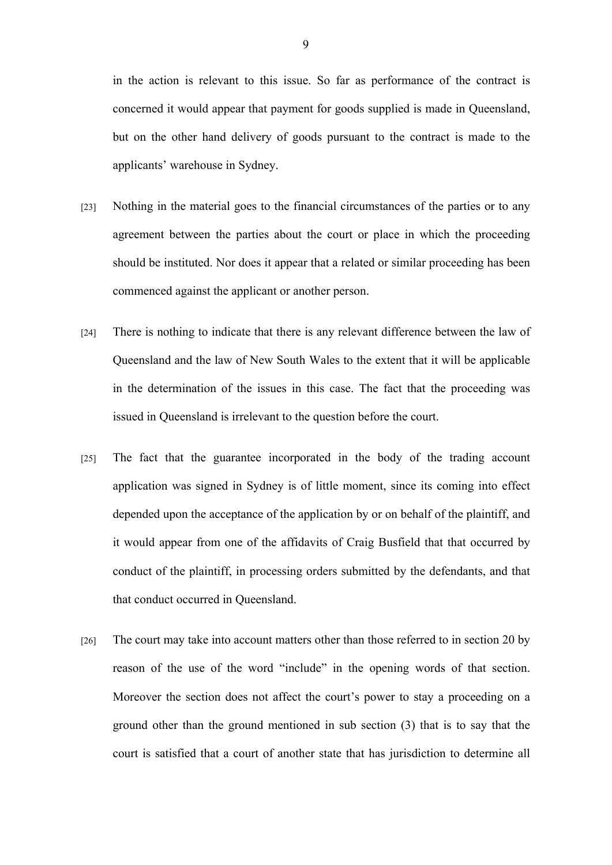in the action is relevant to this issue. So far as performance of the contract is concerned it would appear that payment for goods supplied is made in Queensland, but on the other hand delivery of goods pursuant to the contract is made to the applicants' warehouse in Sydney.

- [23] Nothing in the material goes to the financial circumstances of the parties or to any agreement between the parties about the court or place in which the proceeding should be instituted. Nor does it appear that a related or similar proceeding has been commenced against the applicant or another person.
- [24] There is nothing to indicate that there is any relevant difference between the law of Queensland and the law of New South Wales to the extent that it will be applicable in the determination of the issues in this case. The fact that the proceeding was issued in Queensland is irrelevant to the question before the court.
- [25] The fact that the guarantee incorporated in the body of the trading account application was signed in Sydney is of little moment, since its coming into effect depended upon the acceptance of the application by or on behalf of the plaintiff, and it would appear from one of the affidavits of Craig Busfield that that occurred by conduct of the plaintiff, in processing orders submitted by the defendants, and that that conduct occurred in Queensland.
- [26] The court may take into account matters other than those referred to in section 20 by reason of the use of the word "include" in the opening words of that section. Moreover the section does not affect the court's power to stay a proceeding on a ground other than the ground mentioned in sub section (3) that is to say that the court is satisfied that a court of another state that has jurisdiction to determine all

9